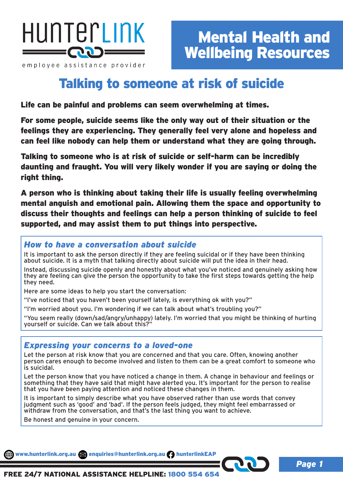

employee assistance provider

*Page 1*

# Talking to someone at risk of suicide

Life can be painful and problems can seem overwhelming at times.

For some people, suicide seems like the only way out of their situation or the feelings they are experiencing. They generally feel very alone and hopeless and can feel like nobody can help them or understand what they are going through.

Talking to someone who is at risk of suicide or self-harm can be incredibly daunting and fraught. You will very likely wonder if you are saying or doing the right thing.

A person who is thinking about taking their life is usually feeling overwhelming mental anguish and emotional pain. Allowing them the space and opportunity to discuss their thoughts and feelings can help a person thinking of suicide to feel supported, and may assist them to put things into perspective.

### *How to have a conversation about suicide*

It is important to ask the person directly if they are feeling suicidal or if they have been thinking about suicide. It is a myth that talking directly about suicide will put the idea in their head.

Instead, discussing suicide openly and honestly about what you've noticed and genuinely asking how they are feeling can give the person the opportunity to take the first steps towards getting the help they need.

Here are some ideas to help you start the conversation:

"I've noticed that you haven't been yourself lately, is everything ok with you?"

"I'm worried about you. I'm wondering if we can talk about what's troubling you?"

"You seem really (down/sad/angry/unhappy) lately. I'm worried that you might be thinking of hurting yourself or suicide. Can we talk about this?"



Let the person at risk know that you are concerned and that you care. Often, knowing another person cares enough to become involved and listen to them can be a great comfort to someone who is suicidal.

Let the person know that you have noticed a change in them. A change in behaviour and feelings or something that they have said that might have alerted you. It's important for the person to realise that you have been paying attention and noticed these changes in them.

It is important to simply describe what you have observed rather than use words that convey judgment such as 'good' and 'bad'. If the person feels judged, they might feel embarrassed or withdraw from the conversation, and that's the last thing you want to achieve.

Be honest and genuine in your concern.

www.hunterlink.org.au and enquiries@hunterlink.org.au hunterlinkEAP